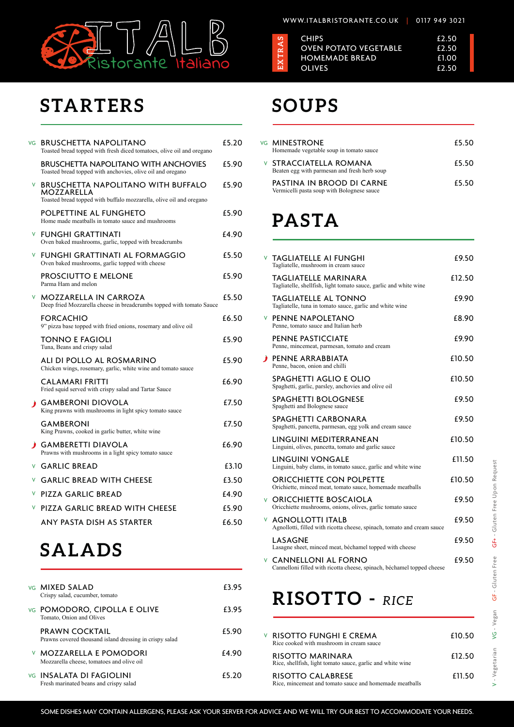

#### WWW.ITALBRISTORANTE.CO.UK | 0117 949 3021

### **STARTERS**

VG INSALATA DI FAGIOLINI Fresh marinated beans and crispy salad

# **SOUPS**

### **SALADS**

£5.20

|    | VG BRUSCHETTA NAPOLITANO<br>Toasted bread topped with fresh diced tomatoes, olive oil and oregano                                     | £5.20 |
|----|---------------------------------------------------------------------------------------------------------------------------------------|-------|
|    | <b>BRUSCHETTA NAPOLITANO WITH ANCHOVIES</b><br>Toasted bread topped with anchovies, olive oil and oregano                             | £5.90 |
| V. | <b>BRUSCHETTA NAPOLITANO WITH BUFFALO</b><br><b>MOZZARELLA</b><br>Toasted bread topped with buffalo mozzarella, olive oil and oregano | £5.90 |
|    | POLPETTINE AL FUNGHETO<br>Home made meatballs in tomato sauce and mushrooms                                                           | £5.90 |
|    | <b>V FUNGHI GRATTINATI</b><br>Oven baked mushrooms, garlic, topped with breadcrumbs                                                   | £4.90 |
| V. | <b>FUNGHI GRATTINATI AL FORMAGGIO</b><br>Oven baked mushrooms, garlic topped with cheese                                              | £5.50 |
|    | PROSCIUTTO E MELONE<br>Parma Ham and melon                                                                                            | £5.90 |
|    | <b>V MOZZARELLA IN CARROZA</b><br>Deep fried Mozzarella cheese in breadcrumbs topped with tomato Sauce                                | £5.50 |
|    | <b>FORCACHIO</b><br>9" pizza base topped with fried onions, rosemary and olive oil                                                    | £6.50 |
|    | <b>TONNO E FAGIOLI</b><br>Tuna, Beans and crispy salad                                                                                | £5.90 |
|    | ALI DI POLLO AL ROSMARINO<br>Chicken wings, rosemary, garlic, white wine and tomato sauce                                             | £5.90 |
|    | <b>CALAMARI FRITTI</b><br>Fried squid served with crispy salad and Tartar Sauce                                                       | £6.90 |
| D. | <b>GAMBERONI DIOVOLA</b><br>King prawns with mushrooms in light spicy tomato sauce                                                    | £7.50 |
|    | <b>GAMBERONI</b><br>King Prawns, cooked in garlic butter, white wine                                                                  | £7.50 |
|    | <b>GAMBERETTI DIAVOLA</b><br>Prawns with mushrooms in a light spicy tomato sauce                                                      | £6.90 |
|    | <b>V GARLIC BREAD</b>                                                                                                                 | £3.10 |
| V. | <b>GARLIC BREAD WITH CHEESE</b>                                                                                                       | £3.50 |
| V. | <b>PIZZA GARLIC BREAD</b>                                                                                                             | £4.90 |
| V  | <b>PIZZA GARLIC BREAD WITH CHEESE</b>                                                                                                 | £5.90 |
|    | ANY PASTA DISH AS STARTER                                                                                                             | £6.50 |
|    |                                                                                                                                       |       |

# **PASTA**

| vg <b>MINESTRONE</b><br>Homemade vegetable soup in tomato sauce               | £5.50 |
|-------------------------------------------------------------------------------|-------|
| <b>V STRACCIATELLA ROMANA</b><br>Beaten egg with parmesan and fresh herb soup | £5.50 |
| PASTINA IN BROOD DI CARNE<br>Vermicelli pasta soup with Bolognese sauce       | £5.50 |

| <b>VG MIXED SALAD</b><br>Crispy salad, cucumber, tomato                          | £3.95 | <b>RISOTTO</b>                                                         |
|----------------------------------------------------------------------------------|-------|------------------------------------------------------------------------|
| <b>VG POMODORO, CIPOLLA E OLIVE</b><br>Tomato, Onion and Olives                  | £3.95 |                                                                        |
| <b>PRAWN COCKTAIL</b><br>Prawns covered thousand island dressing in crispy salad | £5.90 | <b>V RISOTTO FUNGHI E CREN</b><br>Rice cooked with mushroom in cream s |
| <b>V MOZZARELLA E POMODORI</b><br>Mozzarella cheese, tomatoes and olive oil      | £4.90 | <b>RISOTTO MARINARA</b><br>Rice, shellfish, light tomato sauce, garli  |

|    | <b>V TAGLIATELLE AI FUNGHI</b><br>Tagliatelle, mushroom in cream sauce                             | £9.50  |
|----|----------------------------------------------------------------------------------------------------|--------|
|    | <b>TAGLIATELLE MARINARA</b><br>Tagliatelle, shellfish, light tomato sauce, garlic and white wine   | £12.50 |
|    | <b>TAGLIATELLE AL TONNO</b><br>Tagliatelle, tuna in tomato sauce, garlic and white wine            | £9.90  |
|    | <b>V PENNE NAPOLETANO</b><br>Penne, tomato sauce and Italian herb                                  | £8.90  |
|    | <b>PENNE PASTICCIATE</b><br>Penne, mincemeat, parmesan, tomato and cream                           | £9.90  |
|    | <b>PENNE ARRABBIATA</b><br>Penne, bacon, onion and chilli                                          | £10.50 |
|    | <b>SPAGHETTI AGLIO E OLIO</b><br>Spaghetti, garlic, parsley, anchovies and olive oil               | £10.50 |
|    | <b>SPAGHETTI BOLOGNESE</b><br>Spaghetti and Bolognese sauce                                        | £9.50  |
|    | <b>SPAGHETTI CARBONARA</b><br>Spaghetti, pancetta, parmesan, egg yolk and cream sauce              | £9.50  |
|    | LINGUINI MEDITERRANEAN<br>Linguini, olives, pancetta, tomato and garlic sauce                      | £10.50 |
|    | <b>LINGUINI VONGALE</b><br>Linguini, baby clams, in tomato sauce, garlic and white wine            | £11.50 |
|    | <b>ORICCHIETTE CON POLPETTE</b><br>Orichiette, minced meat, tomato sauce, homemade meatballs       | £10.50 |
|    | <b>V ORICCHIETTE BOSCAIOLA</b><br>Oricchiette mushrooms, onions, olives, garlic tomato sauce       | £9.50  |
| V. | <b>AGNOLLOTTI ITALB</b><br>Agnollotti, filled with ricotta cheese, spinach, tomato and cream sauce | £9.50  |
|    | <b>LASAGNE</b>                                                                                     | £9.50  |

£9.50 CANNELLONI AL FORNO V

# $RICE$

£10.50 £12.50 £11.50 RISOTTO FUNGHI E CREMA sauce lic and white wine RISOTTO CALABRESE Rice, mincemeat and tomato sauce and homemade meatballs

 $VG - Vegan$ 

V - Vegetarian

| ທ                  | <b>CHIPS</b>                           | £2.50          |
|--------------------|----------------------------------------|----------------|
| RA                 | <b>OVEN POTATO VEGETABLE</b>           | £2.50          |
| н<br><b>X</b><br>Щ | <b>HOMEMADE BREAD</b><br><b>OLIVES</b> | £1.00<br>£2.50 |